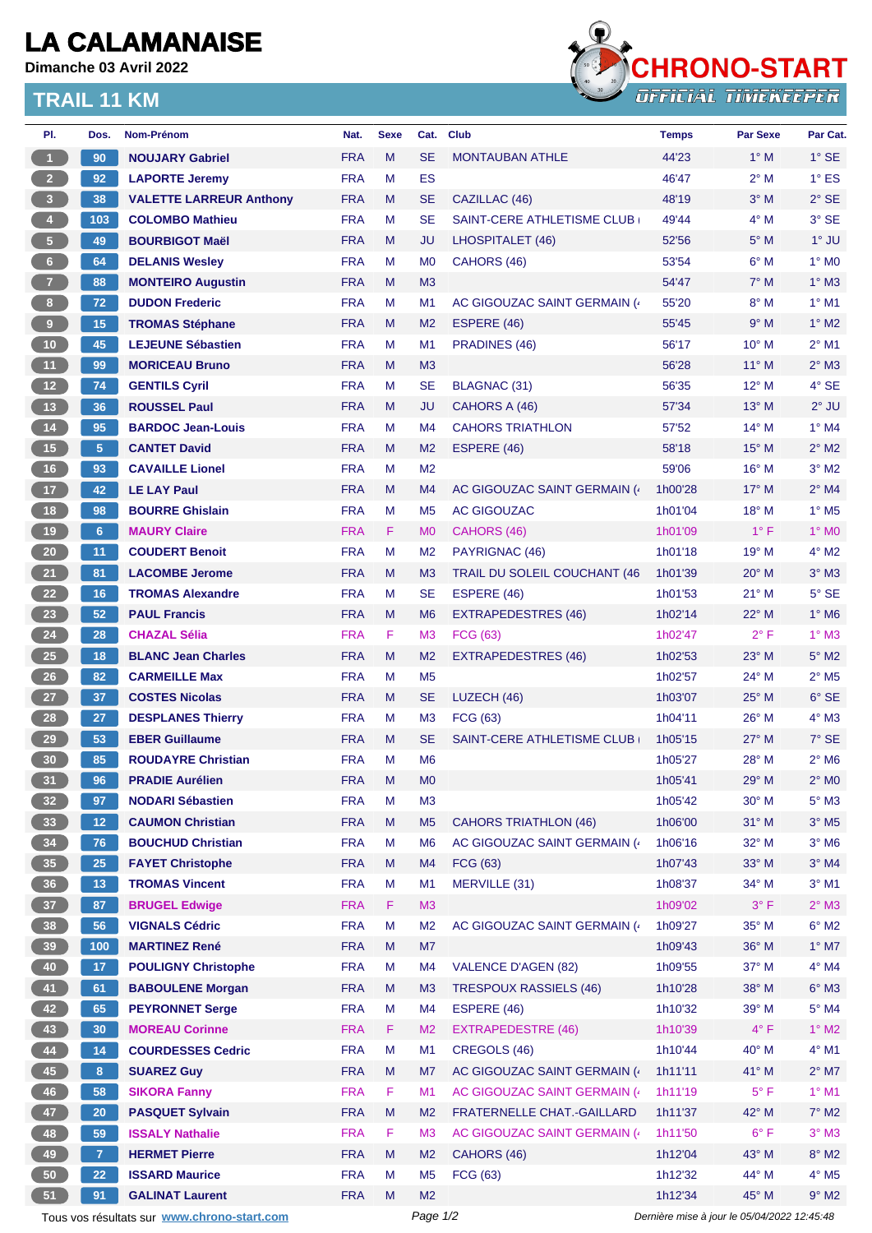## **LA CALAMANAISE**

**Dimanche 03 Avril 2022**

## **TRAIL 11 KM**



| PI.             | Dos.            | Nom-Prénom                                  | Nat.       | <b>Sexe</b> | Cat.           | <b>Club</b>                         | <b>Temps</b>                                | <b>Par Sexe</b> | Par Cat.                   |
|-----------------|-----------------|---------------------------------------------|------------|-------------|----------------|-------------------------------------|---------------------------------------------|-----------------|----------------------------|
| $\overline{1}$  | 90              | <b>NOUJARY Gabriel</b>                      | <b>FRA</b> | M           | <b>SE</b>      | <b>MONTAUBAN ATHLE</b>              | 44'23                                       | $1^\circ$ M     | $1^\circ$ SE               |
| $2 -$           | 92              | <b>LAPORTE Jeremy</b>                       | <b>FRA</b> | м           | ES             |                                     | 46'47                                       | $2^{\circ}$ M   | $1^\circ$ ES               |
| $\overline{3}$  | 38              | <b>VALETTE LARREUR Anthony</b>              | <b>FRA</b> | M           | <b>SE</b>      | CAZILLAC (46)                       | 48'19                                       | $3^\circ$ M     | $2^{\circ}$ SE             |
| $\overline{4}$  | 103             | <b>COLOMBO Mathieu</b>                      | <b>FRA</b> | м           | <b>SE</b>      | <b>SAINT-CERE ATHLETISME CLUB</b>   | 49'44                                       | $4^\circ$ M     | 3° SE                      |
| 5 <sub>1</sub>  | 49              | <b>BOURBIGOT Maël</b>                       | <b>FRA</b> | M           | <b>JU</b>      | LHOSPITALET (46)                    | 52'56                                       | $5^\circ$ M     | $1^\circ$ JU               |
| $6 -$           | 64              | <b>DELANIS Wesley</b>                       | <b>FRA</b> | м           | M <sub>0</sub> | CAHORS (46)                         | 53'54                                       | $6^\circ$ M     | $1^\circ$ MO               |
| 7 <sup>7</sup>  | 88              | <b>MONTEIRO Augustin</b>                    | <b>FRA</b> | M           | M <sub>3</sub> |                                     | 54'47                                       | $7^\circ$ M     | $1^\circ$ M3               |
| $\bf{8}$        | 72              | <b>DUDON Frederic</b>                       | <b>FRA</b> | м           | M <sub>1</sub> | AC GIGOUZAC SAINT GERMAIN (4)       | 55'20                                       | $8^\circ$ M     | $1^\circ$ M1               |
| 9               | 15              | <b>TROMAS Stéphane</b>                      | <b>FRA</b> | M           | M <sub>2</sub> | ESPERE (46)                         | 55'45                                       | 9° M            | $1^\circ$ M2               |
| 10              | 45              | <b>LEJEUNE Sébastien</b>                    | <b>FRA</b> | м           | M <sub>1</sub> | PRADINES (46)                       | 56'17                                       | $10^{\circ}$ M  | $2^{\circ}$ M1             |
| 11              | 99              | <b>MORICEAU Bruno</b>                       | <b>FRA</b> | M           | M3             |                                     | 56'28                                       | $11^{\circ}$ M  | $2^{\circ}$ M3             |
| $12$            | 74              | <b>GENTILS Cyril</b>                        | <b>FRA</b> | М           | <b>SE</b>      | <b>BLAGNAC (31)</b>                 | 56'35                                       | 12° M           | 4° SE                      |
| 13              | 36              | <b>ROUSSEL Paul</b>                         | <b>FRA</b> | M           | JU             | CAHORS A (46)                       | 57'34                                       | 13° M           | $2^{\circ}$ JU             |
| $14$            | 95              | <b>BARDOC Jean-Louis</b>                    | <b>FRA</b> | м           | M4             | <b>CAHORS TRIATHLON</b>             | 57'52                                       | $14^{\circ}$ M  | $1^\circ$ M4               |
| 15              | 5               | <b>CANTET David</b>                         | <b>FRA</b> | M           | M <sub>2</sub> | ESPERE (46)                         | 58'18                                       | $15^{\circ}$ M  | $2^{\circ}$ M2             |
| 16              | 93              | <b>CAVAILLE Lionel</b>                      | <b>FRA</b> | M           | M <sub>2</sub> |                                     | 59'06                                       | 16° M           | $3°$ M2                    |
| 17 <sub>2</sub> | 42              | <b>LE LAY Paul</b>                          | <b>FRA</b> | M           | M <sub>4</sub> | AC GIGOUZAC SAINT GERMAIN (         | 1h00'28                                     | $17^{\circ}$ M  | $2^{\circ}$ M4             |
| 18              | 98              | <b>BOURRE Ghislain</b>                      | <b>FRA</b> | M           | M <sub>5</sub> | <b>AC GIGOUZAC</b>                  | 1h01'04                                     | 18° M           | $1^\circ$ M <sub>5</sub>   |
| 19              | 6 <sup>°</sup>  | <b>MAURY Claire</b>                         | <b>FRA</b> | F           | M <sub>0</sub> | CAHORS (46)                         | 1h01'09                                     | $1^{\circ}$ F   | $1^\circ$ MO               |
| 20              | 11              | <b>COUDERT Benoit</b>                       | <b>FRA</b> | M           | M <sub>2</sub> | PAYRIGNAC (46)                      | 1h01'18                                     | 19° M           | $4^\circ$ M2               |
|                 |                 |                                             |            |             |                |                                     |                                             |                 |                            |
| 21              | 81              | <b>LACOMBE Jerome</b>                       | <b>FRA</b> | M           | M <sub>3</sub> | <b>TRAIL DU SOLEIL COUCHANT (46</b> | 1h01'39                                     | 20° M           | $3°$ M $3$                 |
| 22              | 16              | <b>TROMAS Alexandre</b>                     | <b>FRA</b> | M           | <b>SE</b>      | ESPERE (46)                         | 1h01'53                                     | $21^{\circ}$ M  | $5^\circ$ SE               |
| 23              | 52              | <b>PAUL Francis</b>                         | <b>FRA</b> | M           | M <sub>6</sub> | EXTRAPEDESTRES (46)                 | 1h02'14                                     | $22^{\circ}$ M  | $1^\circ$ M6               |
| 24              | 28              | <b>CHAZAL Sélia</b>                         | <b>FRA</b> | F           | M <sub>3</sub> | FCG (63)                            | 1h02'47                                     | $2^{\circ}$ F   | $1^\circ$ M3               |
| 25              | 18              | <b>BLANC Jean Charles</b>                   | <b>FRA</b> | M           | M <sub>2</sub> | <b>EXTRAPEDESTRES (46)</b>          | 1h02'53                                     | $23^\circ$ M    | $5^\circ$ M2               |
| $26\phantom{.}$ | 82              | <b>CARMEILLE Max</b>                        | <b>FRA</b> | м           | M <sub>5</sub> |                                     | 1h02'57                                     | 24° M           | $2^{\circ}$ M <sub>5</sub> |
| 27              | 37              | <b>COSTES Nicolas</b>                       | <b>FRA</b> | M           | <b>SE</b>      | LUZECH (46)                         | 1h03'07                                     | 25° M           | $6°$ SE                    |
| 28              | 27              | <b>DESPLANES Thierry</b>                    | <b>FRA</b> | м           | M <sub>3</sub> | FCG (63)                            | 1h04'11                                     | $26^{\circ}$ M  | $4^\circ$ M3               |
| 29              | 53              | <b>EBER Guillaume</b>                       | <b>FRA</b> | M           | <b>SE</b>      | SAINT-CERE ATHLETISME CLUB          | 1h05'15                                     | $27^\circ$ M    | 7° SE                      |
| 30              | 85              | <b>ROUDAYRE Christian</b>                   | <b>FRA</b> | М           | M <sub>6</sub> |                                     | 1h05'27                                     | 28° M           | $2^{\circ}$ M <sub>6</sub> |
| 31              | 96              | <b>PRADIE Aurélien</b>                      | <b>FRA</b> | M           | M <sub>0</sub> |                                     | 1h05'41                                     | 29° M           | $2^{\circ}$ MO             |
| 32 <sub>2</sub> | 97              | <b>NODARI Sébastien</b>                     | <b>FRA</b> | M           | M <sub>3</sub> |                                     | 1h05'42                                     | 30° M           | $5^\circ$ M3               |
| 33              | 12 <sub>1</sub> | <b>CAUMON Christian</b>                     | <b>FRA</b> | M           | M <sub>5</sub> | <b>CAHORS TRIATHLON (46)</b>        | 1h06'00                                     | $31^\circ$ M    | $3^\circ$ M <sub>5</sub>   |
| 34              | 76              | <b>BOUCHUD Christian</b>                    | <b>FRA</b> | М           | M <sub>6</sub> | AC GIGOUZAC SAINT GERMAIN (4        | 1h06'16                                     | 32° M           | $3^\circ$ M6               |
| 35              | 25              | <b>FAYET Christophe</b>                     | <b>FRA</b> | M           | M4             | FCG (63)                            | 1h07'43                                     | 33° M           | $3^\circ$ M4               |
| 36              | 13 <sup>°</sup> | <b>TROMAS Vincent</b>                       | <b>FRA</b> | M           | M1             | <b>MERVILLE (31)</b>                | 1h08'37                                     | 34° M           | $3^\circ$ M1               |
| 37 <sup>°</sup> | 87              | <b>BRUGEL Edwige</b>                        | <b>FRA</b> | F           | M <sub>3</sub> |                                     | 1h09'02                                     | $3^\circ$ F     | $2^{\circ}$ M3             |
| 38              | 56              | <b>VIGNALS Cédric</b>                       | <b>FRA</b> | M           | M <sub>2</sub> | AC GIGOUZAC SAINT GERMAIN (4        | 1h09'27                                     | 35° M           | $6^\circ$ M2               |
| 39              | 100             | <b>MARTINEZ René</b>                        | <b>FRA</b> | M           | M7             |                                     | 1h09'43                                     | 36° M           | $1^\circ$ M7               |
| 40              | 17 <sub>2</sub> | <b>POULIGNY Christophe</b>                  | <b>FRA</b> | M           | M4             | <b>VALENCE D'AGEN (82)</b>          | 1h09'55                                     | 37° M           | $4^\circ$ M4               |
| 41              | 61              | <b>BABOULENE Morgan</b>                     | <b>FRA</b> | M           | M <sub>3</sub> | <b>TRESPOUX RASSIELS (46)</b>       | 1h10'28                                     | 38° M           | $6^\circ$ M3               |
| 42              | 65              | <b>PEYRONNET Serge</b>                      | <b>FRA</b> | М           | M4             | ESPERE (46)                         | 1h10'32                                     | 39° M           | $5^\circ$ M4               |
| 43              | 30              | <b>MOREAU Corinne</b>                       | <b>FRA</b> | F.          | M <sub>2</sub> | <b>EXTRAPEDESTRE (46)</b>           | 1h10'39                                     | $4^{\circ}$ F   | $1^\circ$ M2               |
| 44              | 14              | <b>COURDESSES Cedric</b>                    | <b>FRA</b> | М           | M1             | CREGOLS (46)                        | 1h10'44                                     | 40° M           | $4^\circ$ M1               |
| 45              | 8               | <b>SUAREZ Guy</b>                           | <b>FRA</b> | M           | M7             | AC GIGOUZAC SAINT GERMAIN (         | 1h11'11                                     | 41° M           | $2^{\circ}$ M7             |
| 46              | 58              | <b>SIKORA Fanny</b>                         | <b>FRA</b> | F           | M1             | AC GIGOUZAC SAINT GERMAIN (4)       | 1h11'19                                     | $5^{\circ}$ F   | $1^\circ$ M1               |
| 47              | 20              | <b>PASQUET Sylvain</b>                      | <b>FRA</b> | M           | M <sub>2</sub> | FRATERNELLE CHAT.-GAILLARD          | 1h11'37                                     | 42° M           | $7^\circ$ M2               |
| 48              | 59              | <b>ISSALY Nathalie</b>                      | <b>FRA</b> | F           | M <sub>3</sub> | AC GIGOUZAC SAINT GERMAIN (4        | 1h11'50                                     | $6^{\circ}$ F   | $3^\circ$ M3               |
| 49              | $\overline{7}$  | <b>HERMET Pierre</b>                        | <b>FRA</b> | M           | M <sub>2</sub> | CAHORS (46)                         | 1h12'04                                     | 43° M           | $8^\circ$ M2               |
| 50              | 22              | <b>ISSARD Maurice</b>                       | <b>FRA</b> | M           | M <sub>5</sub> | FCG (63)                            | 1h12'32                                     | 44° M           | $4^\circ$ M5               |
| 51              | 91              | <b>GALINAT Laurent</b>                      | <b>FRA</b> | M           | M <sub>2</sub> |                                     | 1h12'34                                     | 45° M           | $9^\circ$ M2               |
|                 |                 | Tous vos résultats sur www.chrono-start.com |            |             | Page 1/2       |                                     | Dernière mise à jour le 05/04/2022 12:45:48 |                 |                            |